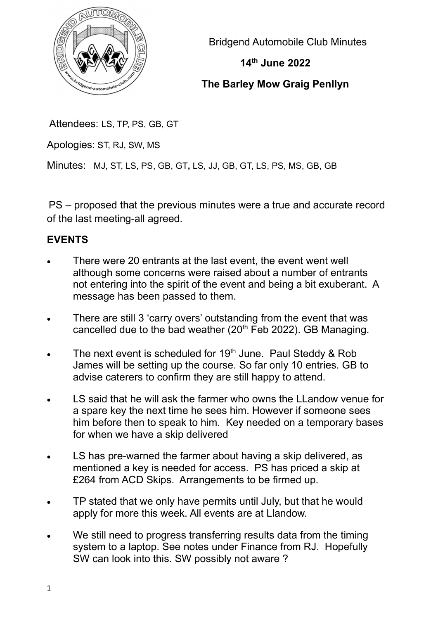

Bridgend Automobile Club Minutes

## 14th June 2022

## The Barley Mow Graig Penllyn

Attendees: LS, TP, PS, GB, GT

Apologies: ST, RJ, SW, MS

Minutes: MJ, ST, LS, PS, GB, GT, LS, JJ, GB, GT, LS, PS, MS, GB, GB

PS – proposed that the previous minutes were a true and accurate record of the last meeting-all agreed.

# EVENTS

- There were 20 entrants at the last event, the event went well although some concerns were raised about a number of entrants not entering into the spirit of the event and being a bit exuberant. A message has been passed to them.
- There are still 3 'carry overs' outstanding from the event that was cancelled due to the bad weather ( $20<sup>th</sup>$  Feb 2022). GB Managing.
- The next event is scheduled for 19<sup>th</sup> June. Paul Steddy & Rob James will be setting up the course. So far only 10 entries. GB to advise caterers to confirm they are still happy to attend.
- LS said that he will ask the farmer who owns the LLandow venue for a spare key the next time he sees him. However if someone sees him before then to speak to him. Key needed on a temporary bases for when we have a skip delivered
- LS has pre-warned the farmer about having a skip delivered, as mentioned a key is needed for access. PS has priced a skip at £264 from ACD Skips. Arrangements to be firmed up.
- TP stated that we only have permits until July, but that he would apply for more this week. All events are at Llandow.
- We still need to progress transferring results data from the timing system to a laptop. See notes under Finance from RJ. Hopefully SW can look into this. SW possibly not aware ?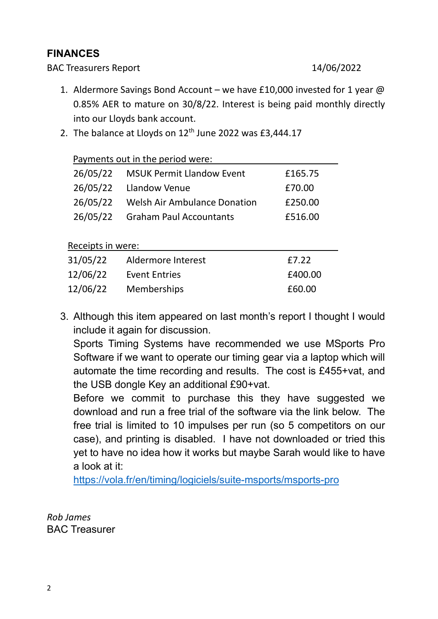### FINANCES

BAC Treasurers Report 14/06/2022

- 1. Aldermore Savings Bond Account we have £10,000 invested for 1 year @ 0.85% AER to mature on 30/8/22. Interest is being paid monthly directly into our Lloyds bank account.
- 2. The balance at Lloyds on  $12<sup>th</sup>$  June 2022 was £3,444.17

| Payments out in the period were: |                                     |              |
|----------------------------------|-------------------------------------|--------------|
| 26/05/22                         | <b>MSUK Permit Llandow Event</b>    | £165.75      |
| 26/05/22                         | Llandow Venue                       | £70.00       |
| 26/05/22                         | <b>Welsh Air Ambulance Donation</b> | £250.00      |
| 26/05/22                         | <b>Graham Paul Accountants</b>      | £516.00      |
|                                  |                                     |              |
| Receipts in were:                |                                     |              |
| 31/05/22                         | Aldermore Interest                  | £7.22        |
| 12/06/22                         | <b>Event Entries</b>                | LOO<br>£400. |

12/06/22 Memberships £60.00

3. Although this item appeared on last month's report I thought I would include it again for discussion.

Sports Timing Systems have recommended we use MSports Pro Software if we want to operate our timing gear via a laptop which will automate the time recording and results. The cost is £455+vat, and the USB dongle Key an additional £90+vat.

Before we commit to purchase this they have suggested we download and run a free trial of the software via the link below. The free trial is limited to 10 impulses per run (so 5 competitors on our case), and printing is disabled. I have not downloaded or tried this yet to have no idea how it works but maybe Sarah would like to have a look at it:

https://vola.fr/en/timing/logiciels/suite-msports/msports-pro

Rob James BAC Treasurer